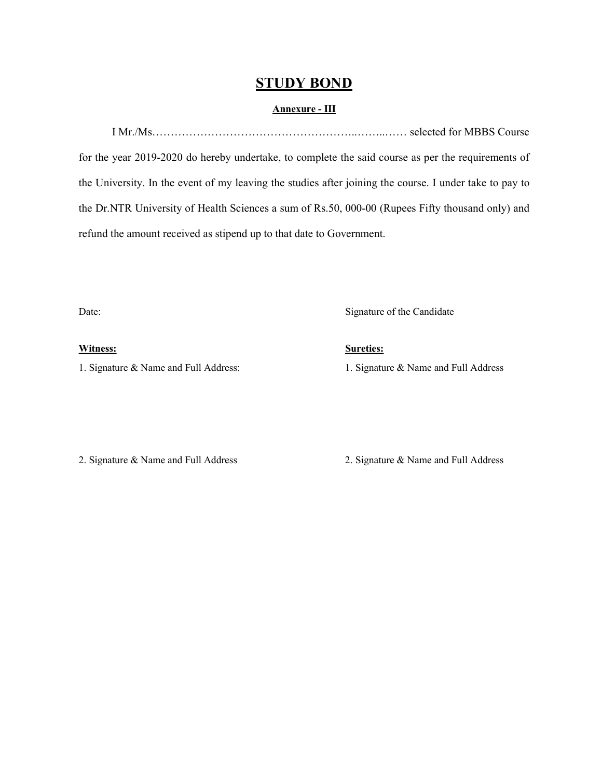# STUDY BOND

#### Annexure - III

I Mr./Ms………………………………………………..……..…… selected for MBBS Course for the year 2019-2020 do hereby undertake, to complete the said course as per the requirements of the University. In the event of my leaving the studies after joining the course. I under take to pay to the Dr.NTR University of Health Sciences a sum of Rs.50, 000-00 (Rupees Fifty thousand only) and refund the amount received as stipend up to that date to Government.

Date: Signature of the Candidate

#### Witness: Sureties:

1. Signature & Name and Full Address: 1. Signature & Name and Full Address

2. Signature & Name and Full Address 2. Signature & Name and Full Address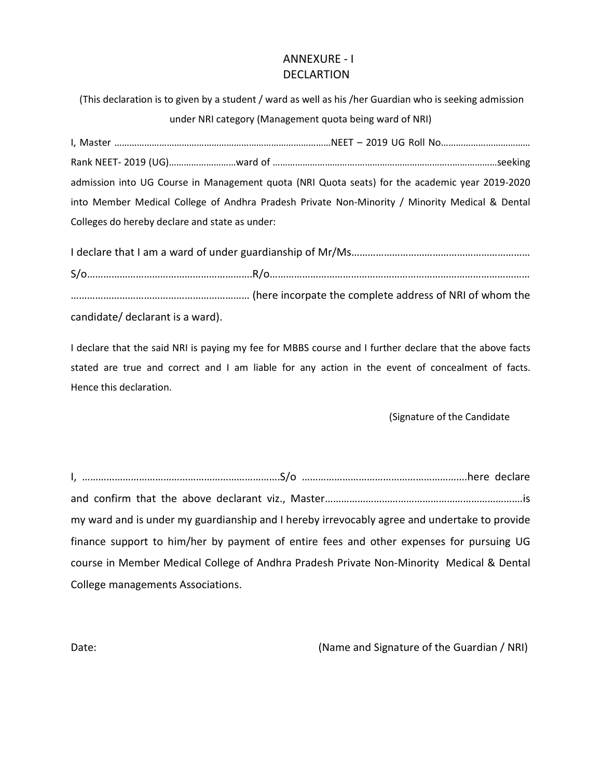## ANNEXURE - I DECLARTION

 (This declaration is to given by a student / ward as well as his /her Guardian who is seeking admission under NRI category (Management quota being ward of NRI)

I, Master ……………………………………………………………………………NEET – 2019 UG Roll No……………………………… Rank NEET- 2019 (UG)………………………ward of …………………………….………………………………..………………seeking admission into UG Course in Management quota (NRI Quota seats) for the academic year 2019-2020 into Member Medical College of Andhra Pradesh Private Non-Minority / Minority Medical & Dental Colleges do hereby declare and state as under:

I declare that I am a ward of under guardianship of Mr/Ms…………………………………………………………

S/o…………………………………………………….R/o……………………………………………………………………………………

………………………………………………………… (here incorpate the complete address of NRI of whom the candidate/ declarant is a ward).

I declare that the said NRI is paying my fee for MBBS course and I further declare that the above facts stated are true and correct and I am liable for any action in the event of concealment of facts. Hence this declaration.

(Signature of the Candidate

I, ……………………………………………………………….S/o …………………………………………………….here declare and confirm that the above declarant viz., Master……………………………………………………………….is my ward and is under my guardianship and I hereby irrevocably agree and undertake to provide finance support to him/her by payment of entire fees and other expenses for pursuing UG course in Member Medical College of Andhra Pradesh Private Non-Minority Medical & Dental College managements Associations.

Date: Case of the Guardian *(Name and Signature of the Guardian / NRI)*